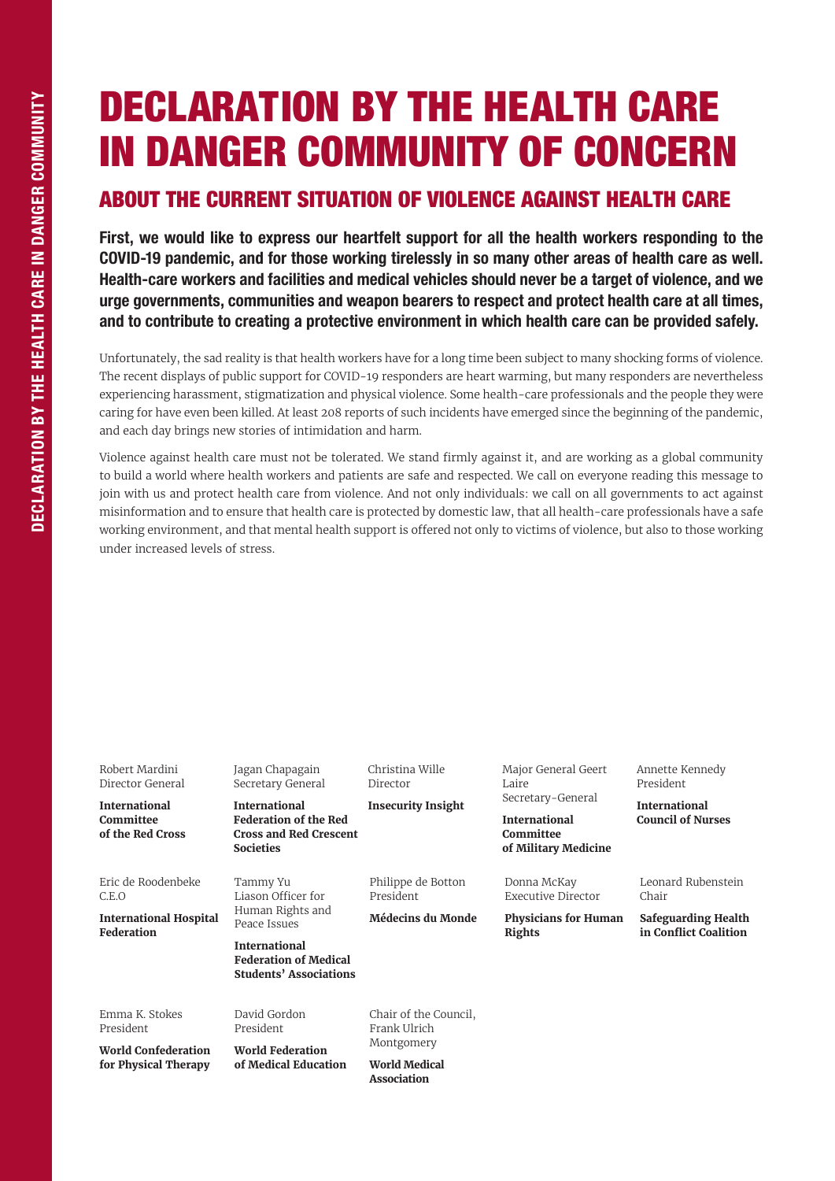## DECLARATION BY THE HEALTH CARE IN DANGER COMMUNITY OF CONCERN

## ABOUT THE CURRENT SITUATION OF VIOLENCE AGAINST HEALTH CARE

First, we would like to express our heartfelt support for all the health workers responding to the COVID-19 pandemic, and for those working tirelessly in so many other areas of health care as well. Health-care workers and facilities and medical vehicles should never be a target of violence, and we urge governments, communities and weapon bearers to respect and protect health care at all times, and to contribute to creating a protective environment in which health care can be provided safely.

Unfortunately, the sad reality is that health workers have for a long time been subject to many shocking forms of violence. The recent displays of public support for COVID-19 responders are heart warming, but many responders are nevertheless experiencing harassment, stigmatization and physical violence. Some health-care professionals and the people they were caring for have even been killed. At least 208 reports of such incidents have emerged since the beginning of the pandemic, and each day brings new stories of intimidation and harm.

Violence against health care must not be tolerated. We stand firmly against it, and are working as a global community to build a world where health workers and patients are safe and respected. We call on everyone reading this message to join with us and protect health care from violence. And not only individuals: we call on all governments to act against misinformation and to ensure that health care is protected by domestic law, that all health-care professionals have a safe working environment, and that mental health support is offered not only to victims of violence, but also to those working under increased levels of stress.

| Robert Mardini<br>Director General<br><b>International</b><br>Committee<br>of the Red Cross | Jagan Chapagain<br>Secretary General<br><b>International</b><br><b>Federation of the Red</b><br><b>Cross and Red Crescent</b><br><b>Societies</b> | Christina Wille<br>Director<br><b>Insecurity Insight</b> | Major General Geert<br>Laire<br>Secretary-General<br><b>International</b><br>Committee<br>of Military Medicine | Annette Kennedy<br>President<br><b>International</b><br><b>Council of Nurses</b>   |
|---------------------------------------------------------------------------------------------|---------------------------------------------------------------------------------------------------------------------------------------------------|----------------------------------------------------------|----------------------------------------------------------------------------------------------------------------|------------------------------------------------------------------------------------|
| Eric de Roodenbeke<br>C.E.O<br><b>International Hospital</b><br><b>Federation</b>           | Tammy Yu<br>Liason Officer for<br>Human Rights and<br>Peace Issues                                                                                | Philippe de Botton<br>President<br>Médecins du Monde     | Donna McKay<br>Executive Director<br><b>Physicians for Human</b><br><b>Rights</b>                              | Leonard Rubenstein<br>Chair<br><b>Safeguarding Health</b><br>in Conflict Coalition |
|                                                                                             | <b>International</b><br><b>Federation of Medical</b><br><b>Students' Associations</b>                                                             |                                                          |                                                                                                                |                                                                                    |
| Emma K. Stokes<br>President<br><b>World Confederation</b><br>for Physical Therapy           | David Gordon<br>President<br><b>World Federation</b><br>of Medical Education                                                                      | Chair of the Council,<br>Frank Ulrich<br>Montgomery      |                                                                                                                |                                                                                    |
|                                                                                             |                                                                                                                                                   | World Medical<br><b>Association</b>                      |                                                                                                                |                                                                                    |